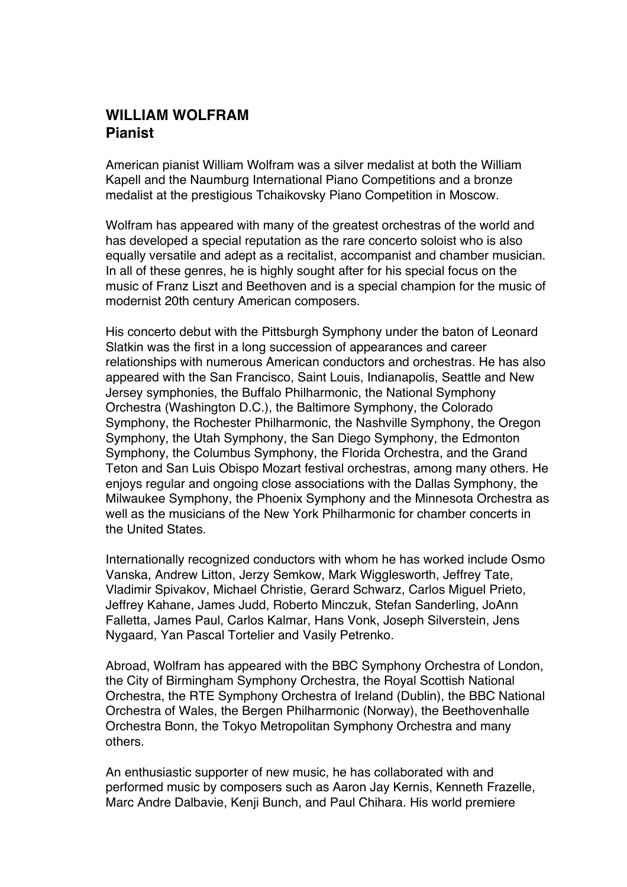## **WILLIAM WOLFRAM Pianist**

American pianist William Wolfram was a silver medalist at both the William Kapell and the Naumburg International Piano Competitions and a bronze medalist at the prestigious Tchaikovsky Piano Competition in Moscow.

Wolfram has appeared with many of the greatest orchestras of the world and has developed a special reputation as the rare concerto soloist who is also equally versatile and adept as a recitalist, accompanist and chamber musician. In all of these genres, he is highly sought after for his special focus on the music of Franz Liszt and Beethoven and is a special champion for the music of modernist 20th century American composers.

His concerto debut with the Pittsburgh Symphony under the baton of Leonard Slatkin was the first in a long succession of appearances and career relationships with numerous American conductors and orchestras. He has also appeared with the San Francisco, Saint Louis, Indianapolis, Seattle and New Jersey symphonies, the Buffalo Philharmonic, the National Symphony Orchestra (Washington D.C.), the Baltimore Symphony, the Colorado Symphony, the Rochester Philharmonic, the Nashville Symphony, the Oregon Symphony, the Utah Symphony, the San Diego Symphony, the Edmonton Symphony, the Columbus Symphony, the Florida Orchestra, and the Grand Teton and San Luis Obispo Mozart festival orchestras, among many others. He enjoys regular and ongoing close associations with the Dallas Symphony, the Milwaukee Symphony, the Phoenix Symphony and the Minnesota Orchestra as well as the musicians of the New York Philharmonic for chamber concerts in the United States.

Internationally recognized conductors with whom he has worked include Osmo Vanska, Andrew Litton, Jerzy Semkow, Mark Wigglesworth, Jeffrey Tate, Vladimir Spivakov, Michael Christie, Gerard Schwarz, Carlos Miguel Prieto, Jeffrey Kahane, James Judd, Roberto Minczuk, Stefan Sanderling, JoAnn Falletta, James Paul, Carlos Kalmar, Hans Vonk, Joseph Silverstein, Jens Nygaard, Yan Pascal Tortelier and Vasily Petrenko.

Abroad, Wolfram has appeared with the BBC Symphony Orchestra of London, the City of Birmingham Symphony Orchestra, the Royal Scottish National Orchestra, the RTE Symphony Orchestra of Ireland (Dublin), the BBC National Orchestra of Wales, the Bergen Philharmonic (Norway), the Beethovenhalle Orchestra Bonn, the Tokyo Metropolitan Symphony Orchestra and many others.

An enthusiastic supporter of new music, he has collaborated with and performed music by composers such as Aaron Jay Kernis, Kenneth Frazelle, Marc Andre Dalbavie, Kenji Bunch, and Paul Chihara. His world premiere